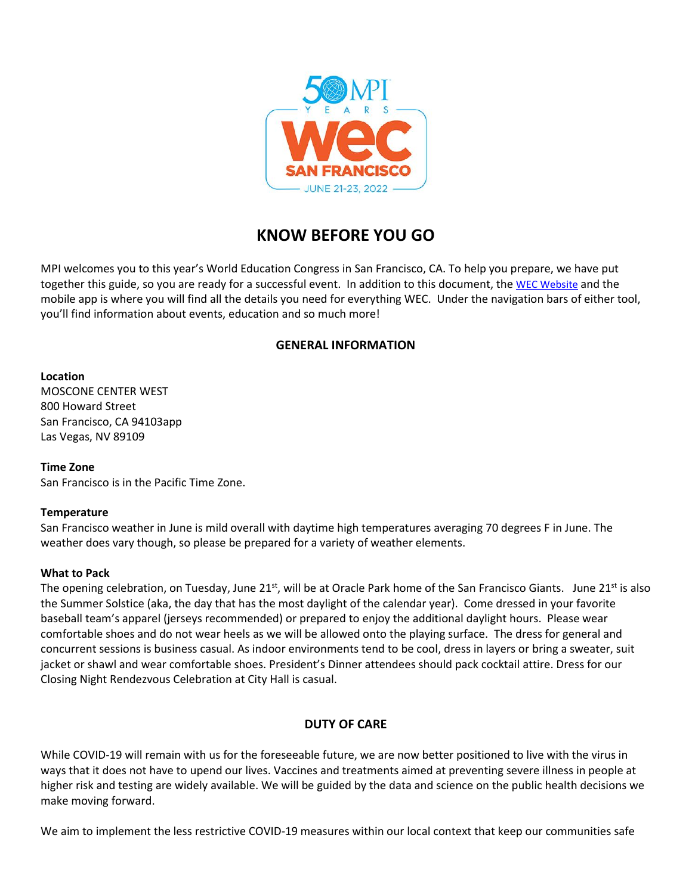

## **KNOW BEFORE YOU GO**

MPI welcomes you to this year's World Education Congress in San Francisco, CA. To help you prepare, we have put together this guide, so you are ready for a successful event. In addition to this document, the [WEC Website](http://www.mpi.org/wec) and the mobile app is where you will find all the details you need for everything WEC. Under the navigation bars of either tool, you'll find information about events, education and so much more!

## **GENERAL INFORMATION**

## **Location**

MOSCONE CENTER WEST 800 Howard Street San Francisco, CA 94103app Las Vegas, NV 89109

## **Time Zone**

San Francisco is in the Pacific Time Zone.

## **Temperature**

San Francisco weather in June is mild overall with daytime high temperatures averaging 70 degrees F in June. The weather does vary though, so please be prepared for a variety of weather elements.

## **What to Pack**

The opening celebration, on Tuesday, June 21<sup>st</sup>, will be at Oracle Park home of the San Francisco Giants. June 21<sup>st</sup> is also the Summer Solstice (aka, the day that has the most daylight of the calendar year). Come dressed in your favorite baseball team's apparel (jerseys recommended) or prepared to enjoy the additional daylight hours. Please wear comfortable shoes and do not wear heels as we will be allowed onto the playing surface. The dress for general and concurrent sessions is business casual. As indoor environments tend to be cool, dress in layers or bring a sweater, suit jacket or shawl and wear comfortable shoes. President's Dinner attendees should pack cocktail attire. Dress for our Closing Night Rendezvous Celebration at City Hall is casual.

## **DUTY OF CARE**

While COVID-19 will remain with us for the foreseeable future, we are now better positioned to live with the virus in ways that it does not have to upend our lives. Vaccines and treatments aimed at preventing severe illness in people at higher risk and testing are widely available. We will be guided by the data and science on the public health decisions we make moving forward.

We aim to implement the less restrictive COVID-19 measures within our local context that keep our communities safe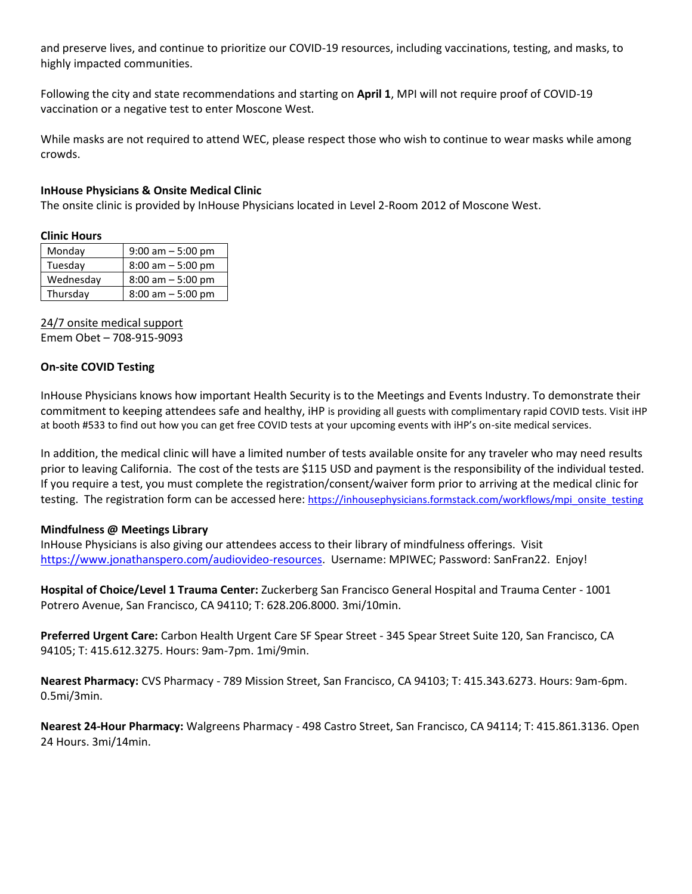and preserve lives, and continue to prioritize our COVID-19 resources, including vaccinations, testing, and masks, to highly impacted communities.

Following the city and state recommendations and starting on **April 1**, MPI will not require proof of COVID-19 vaccination or a negative test to enter Moscone West.

While masks are not required to attend WEC, please respect those who wish to continue to wear masks while among crowds.

#### **InHouse Physicians & Onsite Medical Clinic**

The onsite clinic is provided by InHouse Physicians located in Level 2-Room 2012 of Moscone West.

#### **Clinic Hours**

| Monday    | $9:00$ am $-5:00$ pm |
|-----------|----------------------|
| Tuesday   | $8:00$ am $-5:00$ pm |
| Wednesday | $8:00$ am $-5:00$ pm |
| Thursday  | $8:00$ am $-5:00$ pm |

24/7 onsite medical support Emem Obet – 708-915-9093

## **On-site COVID Testing**

InHouse Physicians knows how important Health Security is to the Meetings and Events Industry. To demonstrate their commitment to keeping attendees safe and healthy, iHP is providing all guests with complimentary rapid COVID tests. Visit iHP at booth #533 to find out how you can get free COVID tests at your upcoming events with iHP's on-site medical services.

In addition, the medical clinic will have a limited number of tests available onsite for any traveler who may need results prior to leaving California. The cost of the tests are \$115 USD and payment is the responsibility of the individual tested. If you require a test, you must complete the registration/consent/waiver form prior to arriving at the medical clinic for testing. The registration form can be accessed here: [https://inhousephysicians.formstack.com/workflows/mpi\\_onsite\\_testing](https://inhousephysicians.formstack.com/workflows/mpi_onsite_testing)

## **Mindfulness @ Meetings Library**

InHouse Physicians is also giving our attendees access to their library of mindfulness offerings. Visit [https://www.jonathanspero.com/audiovideo-resources.](https://www.jonathanspero.com/audiovideo-resources) Username: MPIWEC; Password: SanFran22. Enjoy!

**Hospital of Choice/Level 1 Trauma Center:** Zuckerberg San Francisco General Hospital and Trauma Center - 1001 Potrero Avenue, San Francisco, CA 94110; T: 628.206.8000. 3mi/10min.

**Preferred Urgent Care:** Carbon Health Urgent Care SF Spear Street - 345 Spear Street Suite 120, San Francisco, CA 94105; T: 415.612.3275. Hours: 9am-7pm. 1mi/9min.

**Nearest Pharmacy:** CVS Pharmacy - 789 Mission Street, San Francisco, CA 94103; T: 415.343.6273. Hours: 9am-6pm. 0.5mi/3min.

**Nearest 24-Hour Pharmacy:** Walgreens Pharmacy - 498 Castro Street, San Francisco, CA 94114; T: 415.861.3136. Open 24 Hours. 3mi/14min.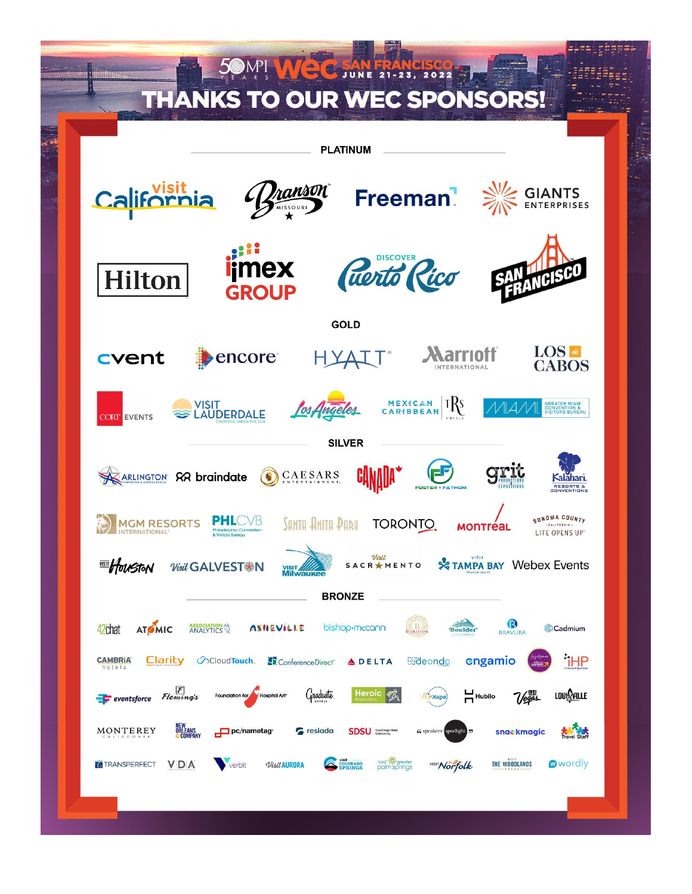# 50 MPI WE G SAN FRANCISCO - 1 **THANKS TO OUR WEC SPONSORS!**

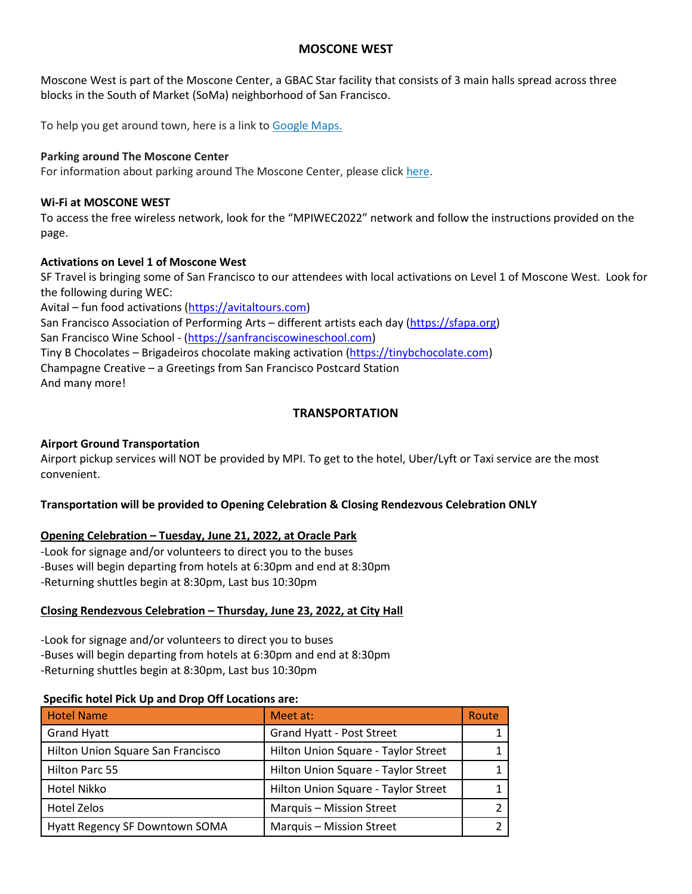## **MOSCONE WEST**

Moscone West is part of the Moscone Center, a GBAC Star facility that consists of 3 main halls spread across three blocks in the South of Market (SoMa) neighborhood of San Francisco.

To help you get around town, here is a link to [Google Maps.](https://www.google.com/maps/@37.7836044,-122.4030769,17z)

## **Parking around The Moscone Center**

For information about parking around The Moscone Center, please click [here.](https://www.google.com/search?q=parking+near+moscone+center&oq=parking+near+mos&aqs=chrome.1.69i57j0i512l9.4929j0j4&sourceid=chrome&ie=UTF-8)

## **Wi-Fi at MOSCONE WEST**

To access the free wireless network, look for the "MPIWEC2022" network and follow the instructions provided on the page.

## **Activations on Level 1 of Moscone West**

SF Travel is bringing some of San Francisco to our attendees with local activations on Level 1 of Moscone West. Look for the following during WEC:

Avital – fun food activations [\(https://avitaltours.com\)](https://avitaltours.com/) San Francisco Association of Performing Arts - different artists each day [\(https://sfapa.org\)](https://sfapa.org/) San Francisco Wine School - [\(https://sanfranciscowineschool.com\)](https://sanfranciscowineschool.com/) Tiny B Chocolates – Brigadeiros chocolate making activation [\(https://tinybchocolate.com\)](https://tinybchocolate.com/) Champagne Creative – a Greetings from San Francisco Postcard Station And many more!

## **TRANSPORTATION**

## **Airport Ground Transportation**

Airport pickup services will NOT be provided by MPI. To get to the hotel, Uber/Lyft or Taxi service are the most convenient.

## **Transportation will be provided to Opening Celebration & Closing Rendezvous Celebration ONLY**

## **Opening Celebration – Tuesday, June 21, 2022, at Oracle Park**

-Look for signage and/or volunteers to direct you to the buses -Buses will begin departing from hotels at 6:30pm and end at 8:30pm -Returning shuttles begin at 8:30pm, Last bus 10:30pm

## **Closing Rendezvous Celebration – Thursday, June 23, 2022, at City Hall**

-Look for signage and/or volunteers to direct you to buses -Buses will begin departing from hotels at 6:30pm and end at 8:30pm -Returning shuttles begin at 8:30pm, Last bus 10:30pm

## **Specific hotel Pick Up and Drop Off Locations are:**

| <b>Hotel Name</b>                 | Meet at:                            | Route |
|-----------------------------------|-------------------------------------|-------|
| <b>Grand Hyatt</b>                | Grand Hyatt - Post Street           |       |
| Hilton Union Square San Francisco | Hilton Union Square - Taylor Street |       |
| Hilton Parc 55                    | Hilton Union Square - Taylor Street |       |
| Hotel Nikko                       | Hilton Union Square - Taylor Street |       |
| Hotel Zelos                       | Marquis - Mission Street            |       |
| Hyatt Regency SF Downtown SOMA    | <b>Marquis - Mission Street</b>     |       |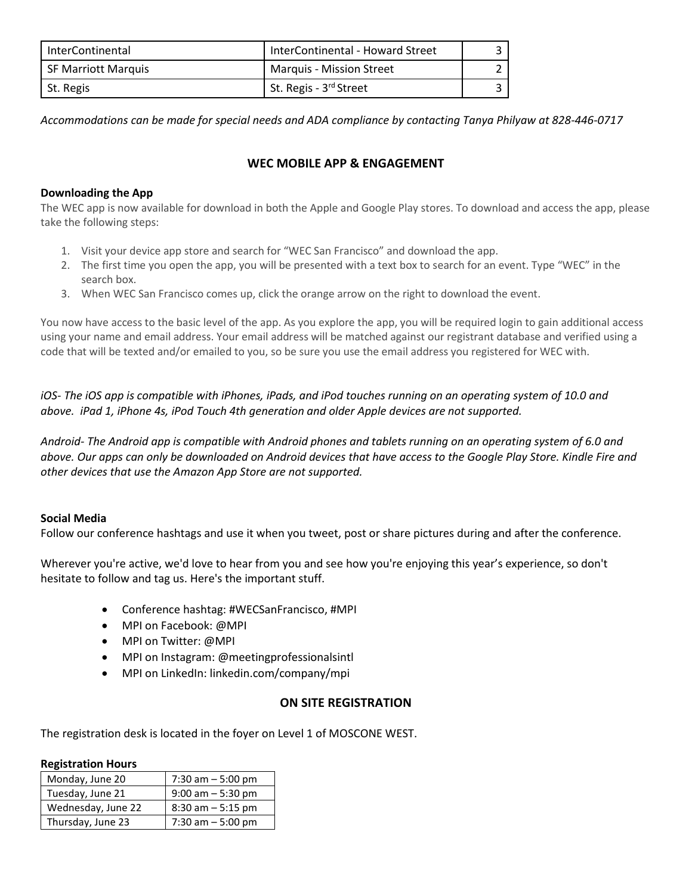| <b>InterContinental</b> | InterContinental - Howard Street |  |
|-------------------------|----------------------------------|--|
| SF Marriott Marquis     | <b>Marquis - Mission Street</b>  |  |
| St. Regis               | St. Regis - 3rd Street           |  |

*Accommodations can be made for special needs and ADA compliance by contacting Tanya Philyaw at 828-446-0717*

## **WEC MOBILE APP & ENGAGEMENT**

## **Downloading the App**

The WEC app is now available for download in both the Apple and Google Play stores. To download and access the app, please take the following steps:

- 1. Visit your device app store and search for "WEC San Francisco" and download the app.
- 2. The first time you open the app, you will be presented with a text box to search for an event. Type "WEC" in the search box.
- 3. When WEC San Francisco comes up, click the orange arrow on the right to download the event.

You now have access to the basic level of the app. As you explore the app, you will be required login to gain additional access using your name and email address. Your email address will be matched against our registrant database and verified using a code that will be texted and/or emailed to you, so be sure you use the email address you registered for WEC with.

*iOS-* The *iOS app is compatible with iPhones, iPads, and iPod touches running on an operating system of 10.0 and above. iPad 1, iPhone 4s, iPod Touch 4th generation and older Apple devices are not supported.*

*Android- The Android app is compatible with Android phones and tablets running on an operating system of 6.0 and above. Our apps can only be downloaded on Android devices that have access to the Google Play Store. Kindle Fire and other devices that use the Amazon App Store are not supported.*

## **Social Media**

Follow our conference hashtags and use it when you tweet, post or share pictures during and after the conference.

Wherever you're active, we'd love to hear from you and see how you're enjoying this year's experience, so don't hesitate to follow and tag us. Here's the important stuff.

- Conference hashtag: #WECSanFrancisco, #MPI
- MPI on Facebook: @MPI
- MPI on Twitter: @MPI
- MPI on Instagram: @meetingprofessionalsintl
- MPI on LinkedIn: linkedin.com/company/mpi

## **ON SITE REGISTRATION**

The registration desk is located in the foyer on Level 1 of MOSCONE WEST.

#### **Registration Hours**

| Monday, June 20    | 7:30 am $-5:00$ pm   |
|--------------------|----------------------|
| Tuesday, June 21   | $9:00$ am $-5:30$ pm |
| Wednesday, June 22 | $8:30$ am $-5:15$ pm |
| Thursday, June 23  | $7:30$ am $-5:00$ pm |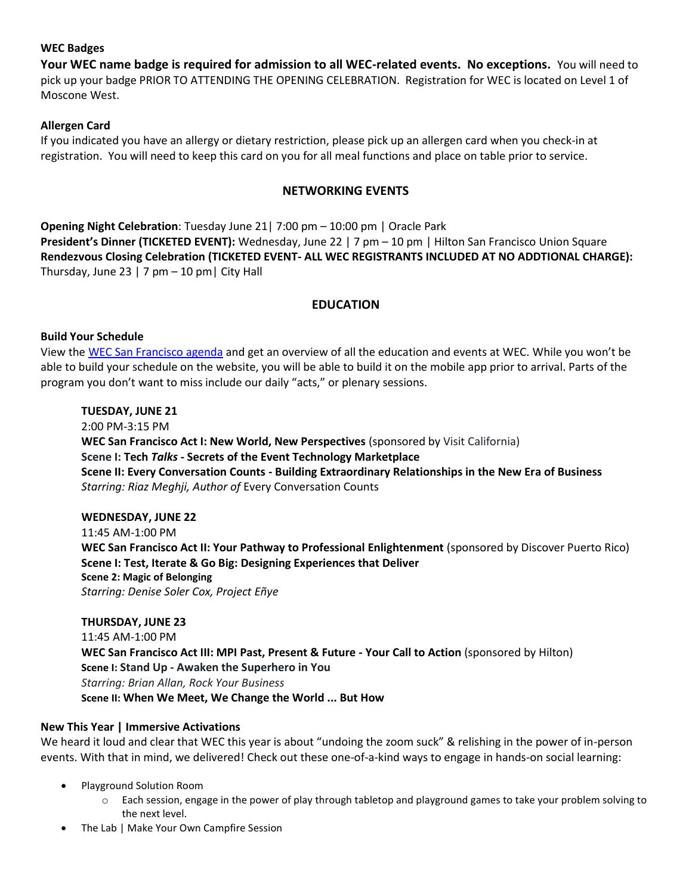#### **WEC Badges**

**Your WEC name badge is required for admission to all WEC-related events. No exceptions.** You will need to pick up your badge PRIOR TO ATTENDING THE OPENING CELEBRATION. Registration for WEC is located on Level 1 of Moscone West.

## **Allergen Card**

If you indicated you have an allergy or dietary restriction, please pick up an allergen card when you check-in at registration. You will need to keep this card on you for all meal functions and place on table prior to service.

## **NETWORKING EVENTS**

**Opening Night Celebration**: Tuesday June 21| 7:00 pm – 10:00 pm | Oracle Park **President's Dinner (TICKETED EVENT):** Wednesday, June 22 | 7 pm – 10 pm | Hilton San Francisco Union Square **Rendezvous Closing Celebration (TICKETED EVENT- ALL WEC REGISTRANTS INCLUDED AT NO ADDTIONAL CHARGE):** Thursday, June 23 | 7 pm  $-$  10 pm | City Hall

## **EDUCATION**

#### **Build Your Schedule**

View the [WEC San Francisco agenda](https://wec.mpi.org/event/8f40c17d-761c-4ba1-be10-74e6a5009a93/websitePage:7333ab6e-c42e-45e2-874f-91007c2aa66e) and get an overview of all the education and events at WEC. While you won't be able to build your schedule on the website, you will be able to build it on the mobile app prior to arrival. Parts of the program you don't want to miss include our daily "acts," or plenary sessions.

#### **TUESDAY, JUNE 21**

2:00 PM-3:15 PM **WEC San Francisco Act I: New World, New Perspectives** (sponsored by Visit California) **Scene I: Tech** *Talks* **- Secrets of the Event Technology Marketplace Scene II: Every Conversation Counts - Building Extraordinary Relationships in the New Era of Business** *Starring: Riaz Meghji, Author of* Every Conversation Counts

#### **WEDNESDAY, JUNE 22**

11:45 AM-1:00 PM **WEC San Francisco Act II: Your Pathway to Professional Enlightenment** (sponsored by Discover Puerto Rico) **Scene I: Test, Iterate & Go Big: Designing Experiences that Deliver Scene 2: Magic of Belonging**  *Starring: Denise Soler Cox, Project Eñye*

#### **THURSDAY, JUNE 23**

11:45 AM-1:00 PM **WEC San Francisco Act III: MPI Past, Present & Future - Your Call to Action** (sponsored by Hilton) **Scene I: Stand Up - Awaken the Superhero in You** *Starring: Brian Allan, Rock Your Business* **Scene II: When We Meet, We Change the World ... But How**

## **New This Year | Immersive Activations**

We heard it loud and clear that WEC this year is about "undoing the zoom suck" & relishing in the power of in-person events. With that in mind, we delivered! Check out these one-of-a-kind ways to engage in hands-on social learning:

#### • Playground Solution Room

- o Each session, engage in the power of play through tabletop and playground games to take your problem solving to the next level.
- The Lab | Make Your Own Campfire Session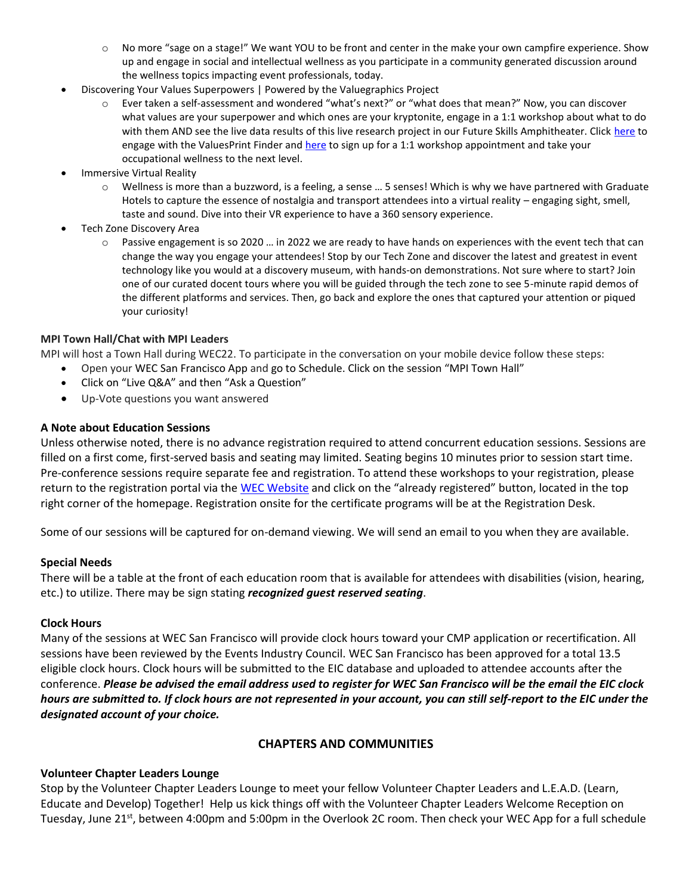- o No more "sage on a stage!" We want YOU to be front and center in the make your own campfire experience. Show up and engage in social and intellectual wellness as you participate in a community generated discussion around the wellness topics impacting event professionals, today.
- Discovering Your Values Superpowers | Powered by the Valuegraphics Project
	- o Ever taken a self-assessment and wondered "what's next?" or "what does that mean?" Now, you can discover what values are your superpower and which ones are your kryptonite, engage in a 1:1 workshop about what to do with them AND see the live data results of this live research project in our Future Skills Amphitheater. Click [here](https://survey.alchemer.com/s3/6827219/valuesprint) to engage with the ValuesPrint Finder and [here](https://calendly.com/valuegraphics-/wec2022) to sign up for a 1:1 workshop appointment and take your occupational wellness to the next level.
- Immersive Virtual Reality
	- o Wellness is more than a buzzword, is a feeling, a sense … 5 senses! Which is why we have partnered with Graduate Hotels to capture the essence of nostalgia and transport attendees into a virtual reality – engaging sight, smell, taste and sound. Dive into their VR experience to have a 360 sensory experience.
- Tech Zone Discovery Area
	- o Passive engagement is so 2020 … in 2022 we are ready to have hands on experiences with the event tech that can change the way you engage your attendees! Stop by our Tech Zone and discover the latest and greatest in event technology like you would at a discovery museum, with hands-on demonstrations. Not sure where to start? Join one of our curated docent tours where you will be guided through the tech zone to see 5-minute rapid demos of the different platforms and services. Then, go back and explore the ones that captured your attention or piqued your curiosity!

#### **MPI Town Hall/Chat with MPI Leaders**

MPI will host a Town Hall during WEC22. To participate in the conversation on your mobile device follow these steps:

- Open your WEC San Francisco App and go to Schedule. Click on the session "MPI Town Hall"
- Click on "Live Q&A" and then "Ask a Question"
- Up-Vote questions you want answered

#### **A Note about Education Sessions**

Unless otherwise noted, there is no advance registration required to attend concurrent education sessions. Sessions are filled on a first come, first-served basis and seating may limited. Seating begins 10 minutes prior to session start time. Pre-conference sessions require separate fee and registration. To attend these workshops to your registration, please return to the registration portal via th[e WEC Website](http://www.mpi.org/wec) and click on the "already registered" button, located in the top right corner of the homepage. Registration onsite for the certificate programs will be at the Registration Desk.

Some of our sessions will be captured for on-demand viewing. We will send an email to you when they are available.

#### **Special Needs**

There will be a table at the front of each education room that is available for attendees with disabilities (vision, hearing, etc.) to utilize. There may be sign stating *recognized guest reserved seating*.

#### **Clock Hours**

Many of the sessions at WEC San Francisco will provide clock hours toward your CMP application or recertification. All sessions have been reviewed by the Events Industry Council. WEC San Francisco has been approved for a total 13.5 eligible clock hours. Clock hours will be submitted to the EIC database and uploaded to attendee accounts after the conference. *Please be advised the email address used to register for WEC San Francisco will be the email the EIC clock hours are submitted to. If clock hours are not represented in your account, you can still self-report to the EIC under the designated account of your choice.*

## **CHAPTERS AND COMMUNITIES**

## **Volunteer Chapter Leaders Lounge**

Stop by the Volunteer Chapter Leaders Lounge to meet your fellow Volunteer Chapter Leaders and L.E.A.D. (Learn, Educate and Develop) Together! Help us kick things off with the Volunteer Chapter Leaders Welcome Reception on Tuesday, June 21<sup>st</sup>, between 4:00pm and 5:00pm in the Overlook 2C room. Then check your WEC App for a full schedule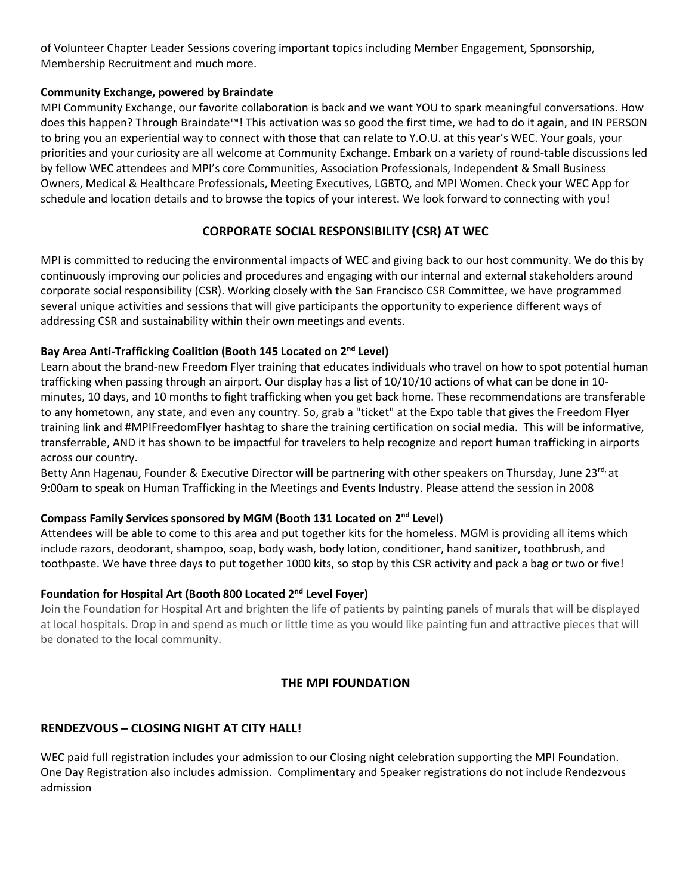of Volunteer Chapter Leader Sessions covering important topics including Member Engagement, Sponsorship, Membership Recruitment and much more.

## **Community Exchange, powered by Braindate**

MPI Community Exchange, our favorite collaboration is back and we want YOU to spark meaningful conversations. How does this happen? Through Braindate™! This activation was so good the first time, we had to do it again, and IN PERSON to bring you an experiential way to connect with those that can relate to Y.O.U. at this year's WEC. Your goals, your priorities and your curiosity are all welcome at Community Exchange. Embark on a variety of round-table discussions led by fellow WEC attendees and MPI's core Communities, Association Professionals, Independent & Small Business Owners, Medical & Healthcare Professionals, Meeting Executives, LGBTQ, and MPI Women. Check your WEC App for schedule and location details and to browse the topics of your interest. We look forward to connecting with you!

## **CORPORATE SOCIAL RESPONSIBILITY (CSR) AT WEC**

MPI is committed to reducing the environmental impacts of WEC and giving back to our host community. We do this by continuously improving our policies and procedures and engaging with our internal and external stakeholders around corporate social responsibility (CSR). Working closely with the San Francisco CSR Committee, we have programmed several unique activities and sessions that will give participants the opportunity to experience different ways of addressing CSR and sustainability within their own meetings and events.

## **Bay Area Anti-Trafficking Coalition (Booth 145 Located on 2nd Level)**

Learn about the brand-new Freedom Flyer training that educates individuals who travel on how to spot potential human trafficking when passing through an airport. Our display has a list of 10/10/10 actions of what can be done in 10 minutes, 10 days, and 10 months to fight trafficking when you get back home. These recommendations are transferable to any hometown, any state, and even any country. So, grab a "ticket" at the Expo table that gives the Freedom Flyer training link and #MPIFreedomFlyer hashtag to share the training certification on social media. This will be informative, transferrable, AND it has shown to be impactful for travelers to help recognize and report human trafficking in airports across our country.

Betty Ann Hagenau, Founder & Executive Director will be partnering with other speakers on Thursday, June 23rd, at 9:00am to speak on Human Trafficking in the Meetings and Events Industry. Please attend the session in 2008

## **Compass Family Services sponsored by MGM (Booth 131 Located on 2nd Level)**

Attendees will be able to come to this area and put together kits for the homeless. MGM is providing all items which include razors, deodorant, shampoo, soap, body wash, body lotion, conditioner, hand sanitizer, toothbrush, and toothpaste. We have three days to put together 1000 kits, so stop by this CSR activity and pack a bag or two or five!

## **Foundation for Hospital Art (Booth 800 Located 2nd Level Foyer)**

Join the Foundation for Hospital Art and brighten the life of patients by painting panels of murals that will be displayed at local hospitals. Drop in and spend as much or little time as you would like painting fun and attractive pieces that will be donated to the local community.

## **THE MPI FOUNDATION**

## **RENDEZVOUS – CLOSING NIGHT AT CITY HALL!**

WEC paid full registration includes your admission to our Closing night celebration supporting the MPI Foundation. One Day Registration also includes admission. Complimentary and Speaker registrations do not include Rendezvous admission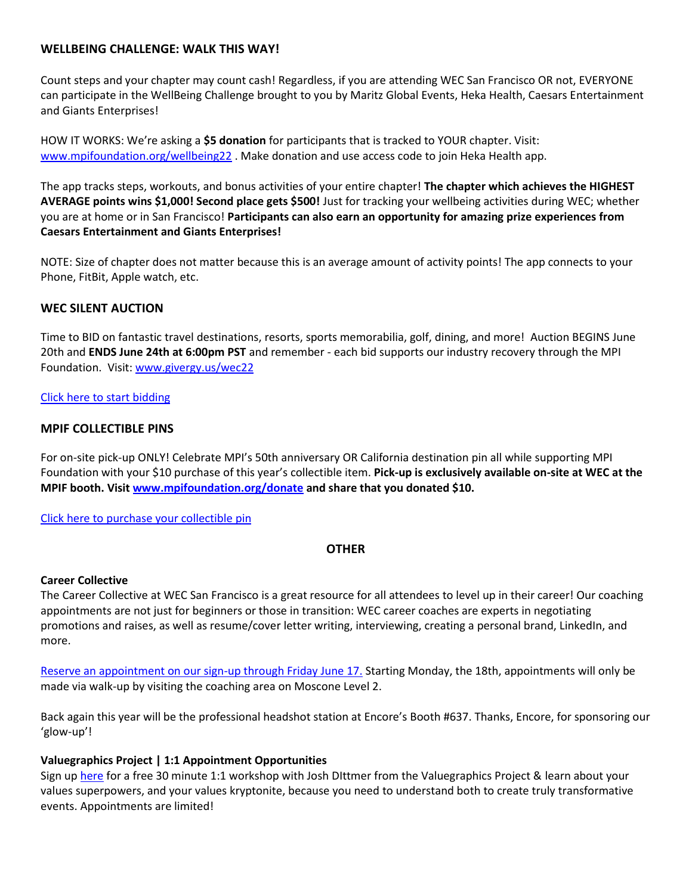## **WELLBEING CHALLENGE: WALK THIS WAY!**

Count steps and your chapter may count cash! Regardless, if you are attending WEC San Francisco OR not, EVERYONE can participate in the WellBeing Challenge brought to you by Maritz Global Events, Heka Health, Caesars Entertainment and Giants Enterprises!

HOW IT WORKS: We're asking a **\$5 donation** for participants that is tracked to YOUR chapter. Visit: [www.mpifoundation.org/wellbeing22](http://www.mpifoundation.org/wellbeing22) . Make donation and use access code to join Heka Health app.

The app tracks steps, workouts, and bonus activities of your entire chapter! **The chapter which achieves the HIGHEST AVERAGE points wins \$1,000! Second place gets \$500!** Just for tracking your wellbeing activities during WEC; whether you are at home or in San Francisco! **Participants can also earn an opportunity for amazing prize experiences from Caesars Entertainment and Giants Enterprises!** 

NOTE: Size of chapter does not matter because this is an average amount of activity points! The app connects to your Phone, FitBit, Apple watch, etc.

## **WEC SILENT AUCTION**

Time to BID on fantastic travel destinations, resorts, sports memorabilia, golf, dining, and more! Auction BEGINS June 20th and **ENDS June 24th at 6:00pm PST** and remember - each bid supports our industry recovery through the MPI Foundation. Visit[: www.givergy.us/wec22](http://www.givergy.us/wec22)

## [Click here to start bidding](http://givergy.us/wec22)

## **MPIF COLLECTIBLE PINS**

For on-site pick-up ONLY! Celebrate MPI's 50th anniversary OR California destination pin all while supporting MPI Foundation with your \$10 purchase of this year's collectible item. **Pick-up is exclusively available on-site at WEC at the MPIF booth. Visi[t www.mpifoundation.org/donate](http://www.mpifoundation.org/donate) and share that you donated \$10.**

[Click here to purchase your collectible pin](https://donate.onecause.com/sfpins/donate)

## **OTHER**

#### **Career Collective**

The Career Collective at WEC San Francisco is a great resource for all attendees to level up in their career! Our coaching appointments are not just for beginners or those in transition: WEC career coaches are experts in negotiating promotions and raises, as well as resume/cover letter writing, interviewing, creating a personal brand, LinkedIn, and more.

[Reserve an appointment on our sign-up through Friday June 17.](https://www.mpi.org/wec/about-wec/career-collective) Starting Monday, the 18th, appointments will only be made via walk-up by visiting the coaching area on Moscone Level 2.

Back again this year will be the professional headshot station at Encore's Booth #637. Thanks, Encore, for sponsoring our 'glow-up'!

## **Valuegraphics Project | 1:1 Appointment Opportunities**

Sign up [here](https://calendly.com/valuegraphics-/wec2022) for a free 30 minute 1:1 workshop with Josh DIttmer from the Valuegraphics Project & learn about your values superpowers, and your values kryptonite, because you need to understand both to create truly transformative events. Appointments are limited!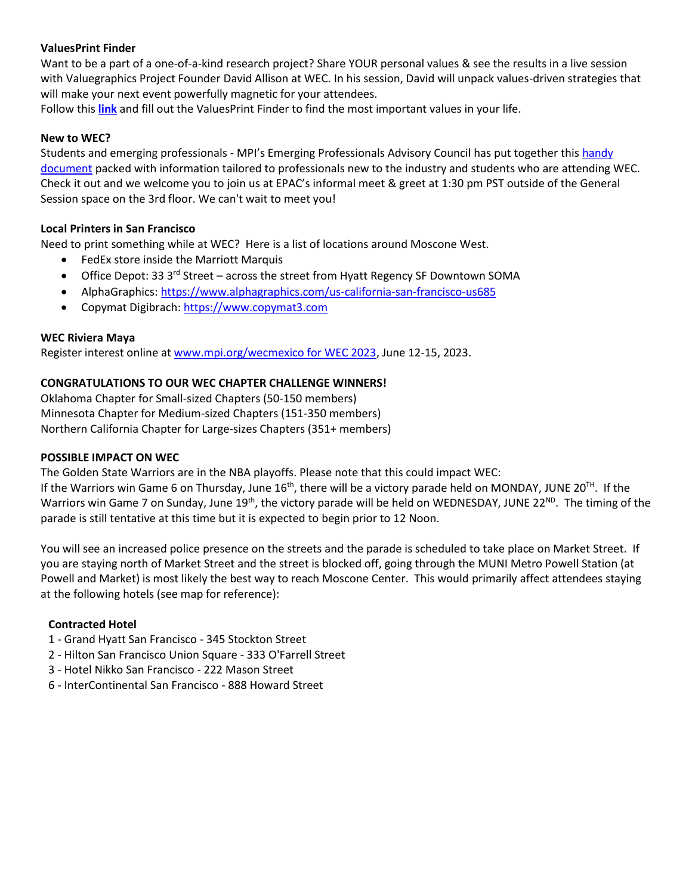## **ValuesPrint Finder**

Want to be a part of a one-of-a-kind research project? Share YOUR personal values & see the results in a live session with Valuegraphics Project Founder David Allison at WEC. In his session, David will unpack values-driven strategies that will make your next event powerfully magnetic for your attendees.

Follow this **[link](https://survey.alchemer.com/s3/6827219/valuesprint)** and fill out the ValuesPrint Finder to find the most important values in your life.

## **New to WEC?**

Students and emerging professionals - MPI's Emerging Professionals Advisory Council has put together this handy [document](https://www.mpi.org/docs/wectestlibraries/default-document-library/wec-survival-guide---not-student-specific.pdf) packed with information tailored to professionals new to the industry and students who are attending WEC. Check it out and we welcome you to join us at EPAC's informal meet & greet at 1:30 pm PST outside of the General Session space on the 3rd floor. We can't wait to meet you!

## **Local Printers in San Francisco**

Need to print something while at WEC? Here is a list of locations around Moscone West.

- FedEx store inside the Marriott Marquis
- Office Depot: 33  $3<sup>rd</sup>$  Street across the street from Hyatt Regency SF Downtown SOMA
- AlphaGraphics:<https://www.alphagraphics.com/us-california-san-francisco-us685>
- Copymat Digibrach[: https://www.copymat3.com](https://www.copymat3.com/)

## **WEC Riviera Maya**

Register interest online at [www.mpi.org/wecmexico for WEC 2023,](http://www.mpi.org/wecmexico) June 12-15, 2023.

## **CONGRATULATIONS TO OUR WEC CHAPTER CHALLENGE WINNERS!**

Oklahoma Chapter for Small-sized Chapters (50-150 members) Minnesota Chapter for Medium-sized Chapters (151-350 members) Northern California Chapter for Large-sizes Chapters (351+ members)

## **POSSIBLE IMPACT ON WEC**

The Golden State Warriors are in the NBA playoffs. Please note that this could impact WEC:

If the Warriors win Game 6 on Thursday, June  $16^{th}$ , there will be a victory parade held on MONDAY, JUNE 20<sup>TH</sup>. If the Warriors win Game 7 on Sunday, June 19<sup>th</sup>, the victory parade will be held on WEDNESDAY, JUNE 22<sup>ND</sup>. The timing of the parade is still tentative at this time but it is expected to begin prior to 12 Noon.

You will see an increased police presence on the streets and the parade is scheduled to take place on Market Street. If you are staying north of Market Street and the street is blocked off, going through the MUNI Metro Powell Station (at Powell and Market) is most likely the best way to reach Moscone Center. This would primarily affect attendees staying at the following hotels (see map for reference):

## **Contracted Hotel**

- 1 Grand Hyatt San Francisco 345 Stockton Street
- 2 Hilton San Francisco Union Square 333 O'Farrell Street
- 3 Hotel Nikko San Francisco 222 Mason Street
- 6 InterContinental San Francisco 888 Howard Street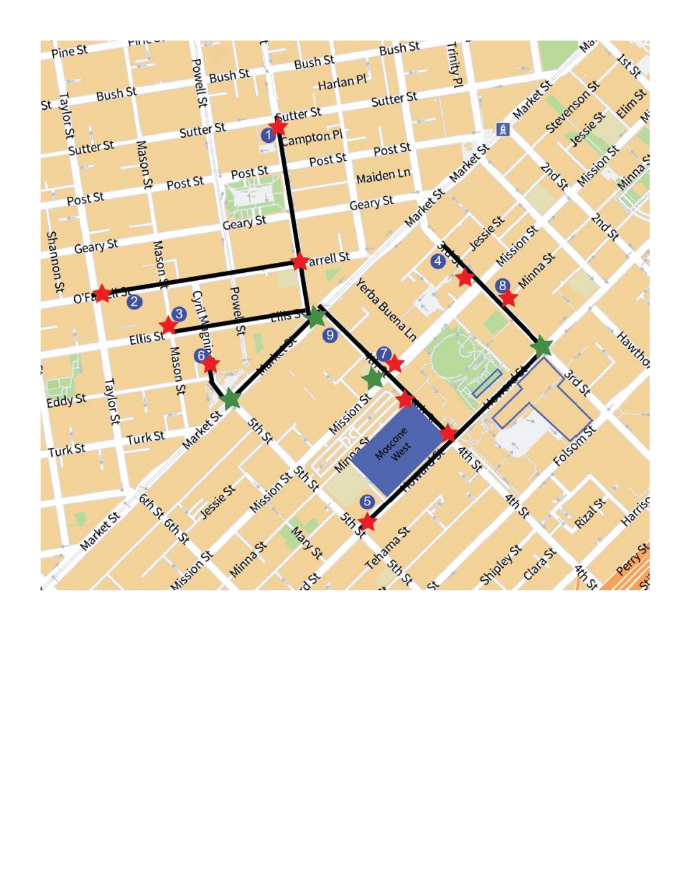